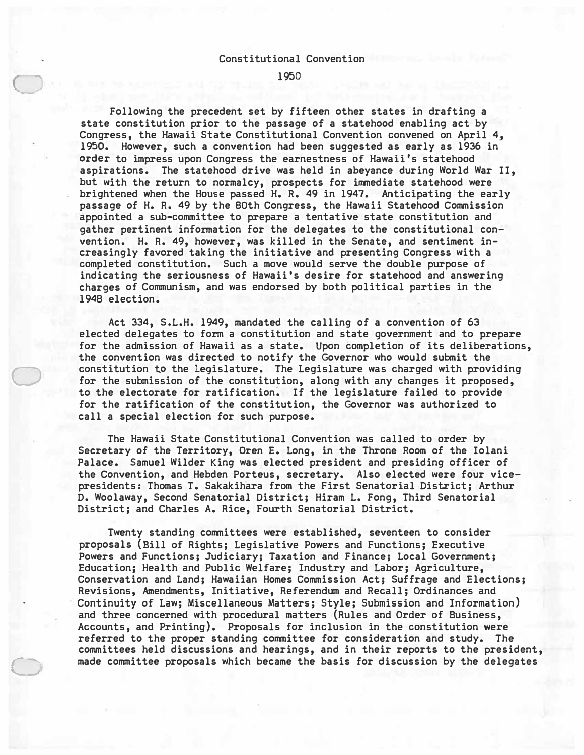#### Constitutional Convention

1950

Following the precedent set by fifteen other states in drafting a state constitution prior to the passage of a statehood enabling act by Congress, the Hawaii State Constitutional Convention convened on April 4, 1950. However, such a convention had been suggested as early as 1936 in *order* to impress upon Congress the earnestness of Hawaii's statehood aspirations. The statehood drive was held in abeyance during World War II, but with the return to normalcy, prospects for immediate statehood were brightened when the House passed H. R. 49 in 1947. Anticipating the early passage of H. R. 49 by the 80th Congress, the Hawaii Statehood Commission appointed a sub-committee to prepare a tentative state constitution and gather pertinent information for the delegates to the constitutional convention. H. R. 49, however, was killed in the Senate, and sentiment increasingly favored taking the initiative and presenting Congress with a completed constitution. Such a move would serve the double purpose of indicating the seriousness of Hawaii's desire for statehood and answering charges of Communism, and was endorsed by both political parties in the 1948 election.

Act 334, S.L.H. 1949, mandated the calling of a convention of 63 elected delegates to form a constitution and state government and to prepare for the admission of Hawaii as a state. Upon completion of its deliberations, the convention was directed to notify the Governor who would submit the constitution t9 the Legislature. The Legislature was charged with providing for the submission of the constitution, along with any changes it proposed, to the electorate for ratification. If the legislature failed to provide for the ratification of the constitution, the Governor was authorized to call a special election for such purpose.

 $\bigcirc$ 

C

The Hawaii State Constitutional Convention was called to order by Secretary of the Territory, Oren E. Long, in the Throne Room of the Iolani Palace. Samuel Wilder King was elected president and presiding officer of the Convention, and Hebden Porteus, secretary. Also elected were four vicepresidents: Thomas T. Sakakihara from the First Senatorial District; Arthur D. Woolaway, Second Senatorial District; Hiram L. Fong, Third Senatorial District; and Charles A. Rice, Fourth Senatorial District.

Twenty standing committees were established, seventeen to consider proposals (Bill of Rights; Legislative Powers and Functions; Executive Powers and Functions; Judiciary; Taxation and Finance; Local Government; Education; Health and Public Welfare; Industry and Labor; Agriculture, Conservation and Land; Hawaiian Homes Commission Act; Suffrage and Elections; Revisions, Amendments, Initiative, Referendum and Recall; Ordinances and Continuity of Law; Miscellaneous Matters; Style; Submission and Information) and three concerned with procedural matters (Rules and Order of Business, Accounts, and Printing). Proposals for inclusion in the constitution **were**  referred to the proper standing committee for consideration and study. The committees held discussions and hearings, and in their reports to the president, made committee proposals which became the basis for discussion by the delegates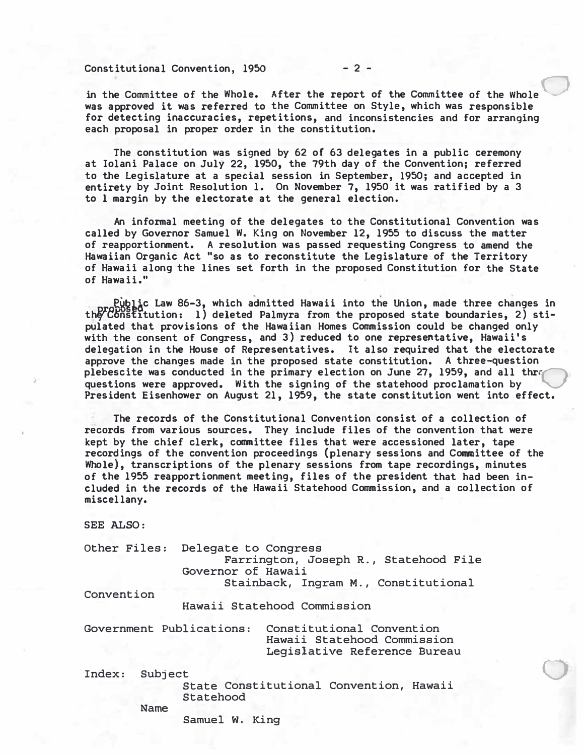# Constitutional Convention• 1950 **- 2 -**

in the Committee of the Whole. After the report of the Committee of the Whole was approved it was referred to the Committee on Style, which was responsible for detecting inaccuracies, repetitions, and inconsistencies and for arranging each proposal in proper order in the constitution.

The constitution was signed by 62 of 63 delegates in a public ceremony at Iolani Palace on July **22,** 1950, the 79th day of the Convention; referred to the Legislature at a special session in September, 1950; and accepted in entirety by Joint Resolution 1. On November 7, 1950 it was ratified by a 3 to 1 margin by the electorate at the general election.

An informal meeting of the delegates to the Constitutional Convention was called by Governor Samuel W. King on November 12, 1955 to discuss the matter of reapportionment. A resolution was passed requesting Congress to amend the Hawaiian Organic Act "so as to reconstitute the Legislature of the Territory of Hawaii along the lines set forth in the proposed Constitution for the State of Hawaii. "

Public Law 86-3, which admitted Hawaii into the Union, made three changes in the Constitution: 1) deleted Palmyra from the proposed state boundaries, 2) stipulated that provisions of the Hawaiian Homes Commission could be changed only with the consent of Congress, and 3) reduced to one representative, Hawaii's delegation in the House of Representatives. It also required that the electorate approve the changes made in the proposed state constitution. A three-question plebescite was conducted in the primary election on June 27, 1959, and all thre questions were approved. With the signing of the statehood proclamation by President Eisenhower on August 21, 1959, the state constitution went into effect.

The records of the Constitutional Convention consist of a collection of records from various sources. They include files of the convention that were kept by the chief clerk, committee files that were accessioned later, tape recordings of the convention proceedings (plenary sessions and Committee of the Whole), transcriptions of the plenary sessions from tape recordings, minutes of the 1955 reapportionment meeting, files of the president that had been included in the records of the Hawaii Statehood Commission, and a collection of miscellany.

SEE ALSO:

**Other Files: Delegate to Congress** 

**Farrington, Joseph R., Statehood File Governor of Hawaii** 

**Stainback, Ingram M., Constitutional** 

**Convention** 

**Hawaii Statehood Commission** 

**Government Publications: Constitutional Convention** 

**Hawaii Statehood Commission Legislative Reference Bureau** 

 $\bigcirc$ 

**Index: Subject** 

**State Constitutional Convention, Hawaii Statehood** 

**Name** 

**Samuel** w. **King**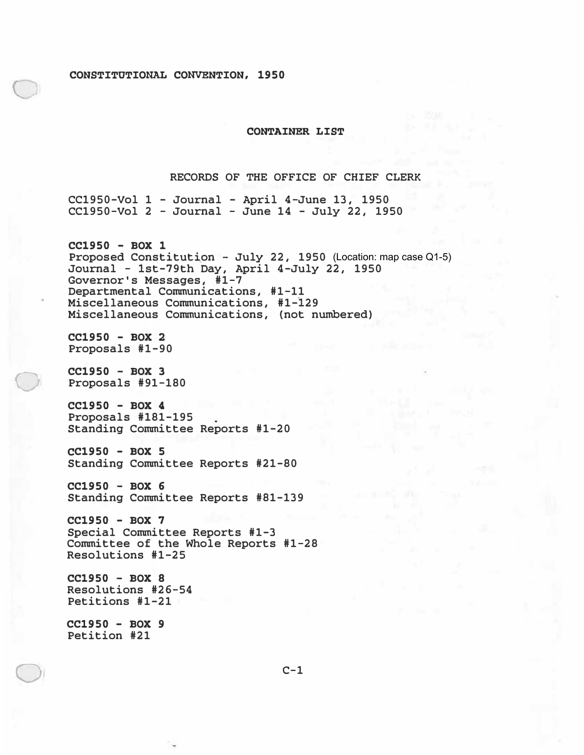#### **CONSTITUTIONAL CONVENTION, 1950**

## **CONTAINER LIST**

### RECORDS OF THE OFFICE OF CHIEF CLERK

CC1950-Vol 1 - Journal - April 4-June 13, 1950 CC1950-Vol 2 - Journal - June 14 - July 22, 1950

Proposed Constitution – July 22, 1950 (Location:mapcaseQ1-5) **CC1950 - BOX 1**  Journal - lst-79th Day, April 4-July 22, 1950 Governor's Messages, #1-7 Departmental Communications, #1-11 Miscellaneous Communications, #1-129 Miscellaneous Communications, (not numbered)

**CC1950 - BOX 2**  Proposals #1-90

**CC1950 - BOX 3**  Proposals #91-180

 $\bigcirc$ 

 $\bigcirc$ 

**CC1950 - BOX 4**  Proposals #181-195 Standing Committee Reports #1-20

**CC1950 - BOX 5**  Standing Committee Reports #21-80

**CC1950 - BOX 6**  Standing Committee Reports #81-139

**CC1950 - BOX 7**  Special Committee Reports #1-3 Committee of the Whole Reports #1-28 Resolutions #1-25

**CC1950 - BOX 8**  Resolutions #26-54 Petitions #1-21

**CC1950 - BOX 9**  Petition #21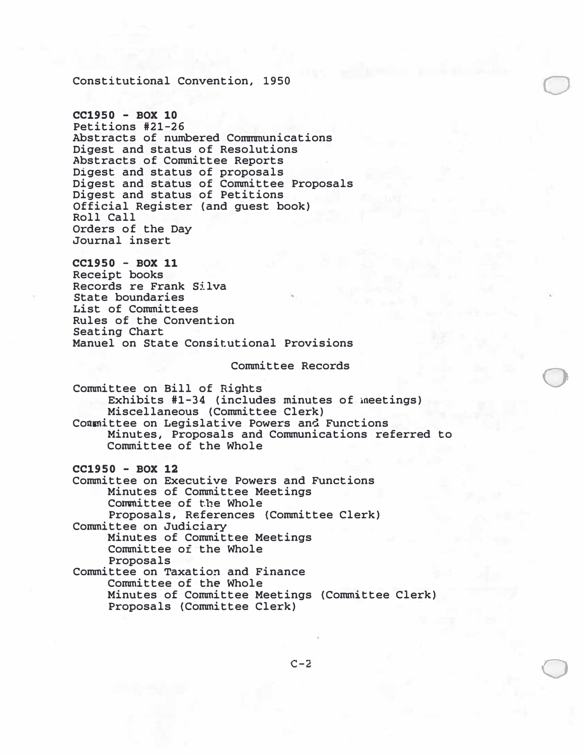Constitutional Convention, 1950

**CC1950** - **BOX 10**  Petitions #21-26 Abstracts of numbered Commmunications Digest and status of Resolutions Abstracts of Committee Reports Digest and status of proposals Digest and status of Committee Proposals Digest and status of Petitions Official Register (and guest book) Roll Call Orders of the Day Journal insert

**CC1950** - **BOX 11**  Receipt books Records re Frank Silva State boundaries List of Committees Rules of the Convention Seating Chart Manuel on State Consitutional Provisions

Committee Records

 $\bigcirc$ 

0

 $\bigcirc$ 

Committee on Bill of Rights Exhibits #1-34 (includes minutes of meetings) Miscellaneous (Committee Clerk) Committee on Legislative Powers an� Functions Minutes, Proposals and Communications referred to Committee of the Whole

**CC1950** - **BOX 12** 

Committee on Executive Powers and Functions Minutes of Committee Meetings Committee of the Whole Proposals, References (Committee Clerk) Committee on Judiciary Minutes of Committee Meetings Committee of the Whole Proposals Committee on Taxation and Finance Committee of the Whole Minutes of Committee Meetings (Committee Clerk) Proposals (Committee Clerk)

**C-2**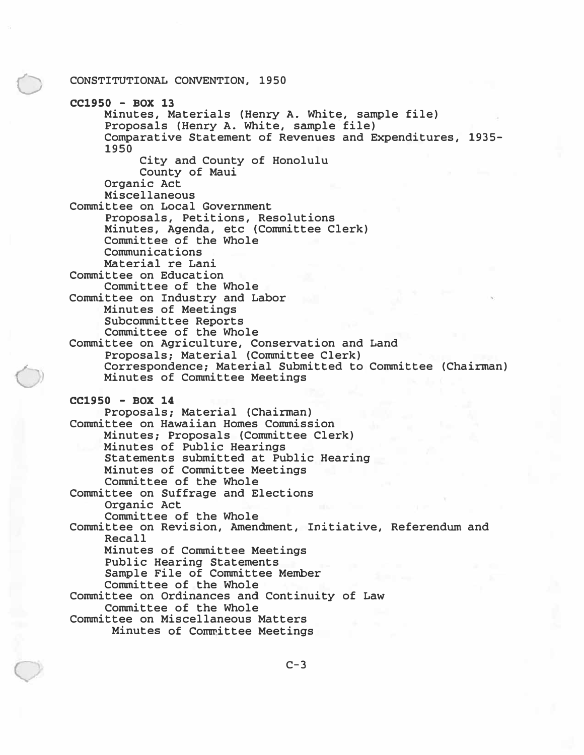#### 0 CONSTITUTIONAL CONVENTION, 1950

**CC1950** - **BOX 13**  Minutes, Materials (Henry A. White, sample file) Proposals (Henry A. White, sample file) Comparative Statement of Revenues and Expenditures, 1935- 1950 City and County of Honolulu County of Maui Organic Act Miscellaneous Committee on Local Government Proposals, Petitions, Resolutions Minutes, Agenda, etc (Committee Clerk) Committee of the Whole Communications Material re Lani Committee on Education Committee of the Whole Committee on Industry and Labor Minutes of Meetings Subcommittee Reports Committee of the Whole Committee on Agriculture, Conservation and Land Proposals; Material (Committee Clerk) Correspondence; Material Submitted to Committee (Chairman) Minutes of Committee Meetings **CC1950** - **BOX 14**  Proposals; Material (Chairman) Committee on Hawaiian Homes Commission Minutes; Proposals (Committee Clerk) Minutes of Public Hearings Statements submitted at Public Hearing Minutes of Committee Meetings Committee of the Whole Committee on Suffrage and Elections Organic Act Committee of the Whole Committee on Revision, Amendment, Initiative, Referendum and Recall Minutes of Committee Meetings Public Hearing Statements Sample File of Committee Member Committee of the Whole Committee on Ordinances and Continuity of Law Committee of the Whole Committee on Miscellaneous Matters Minutes of Committee Meetings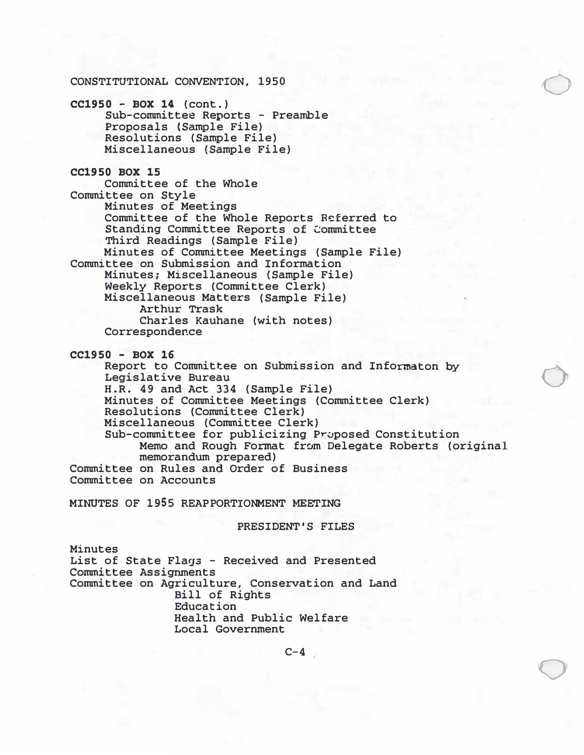#### CONSTITUTIONAL CONVENTION, 1950

**CC1950 - BOX 14** (cont.) Sub-committee Reports - Preamble Proposals {Sample File) Resolutions (Sample File} Miscellaneous (Sample File)

**CC1950 BOX 15** Committee of the Whole Committee on Style Minutes of Meetings Committee of the Whole Reports R�ferred to Standing Committee Reports of Committee Third Readings (Sample File} Minutes of Committee Meetings (Sample File) Committee on Submission and Information Minutes; Miscellaneous (Sample File) Weekly Reports (Committee Clerk) Miscellaneous Matters (Sample File) Arthur Trask Charles Kauhane (with notes) Correspondence

**CC1950 - BOX 16** 

Report to Committee on Submission and Inforrnaton by Legislative Bureau H.R. 49 and Act 334 (Sample File) Minutes of Committee Meetings (Committee Clerk) Resolutions (Committee Clerk) Miscellaneous (Committee Clerk) Sub-committee for publicizing Proposed Constitution Memo and Rough Format from Delegate Roberts (original memorandum prepared) Committee on Rules an� Order of Business Committee on Accounts

 $\bigcirc$ 

 $\bigcirc$ 

 $\bigcirc$ 

**MINUTES OF 1955 REAPPORTIONMENT MEETING** 

**PRESIDENT'S FILES** 

Minutes List of State Flags - Received and Presented Committee Assignments Committee on Agriculture, Conservation and Land Bill of Rights Education Health and Public Welfare Local Government

**C-4**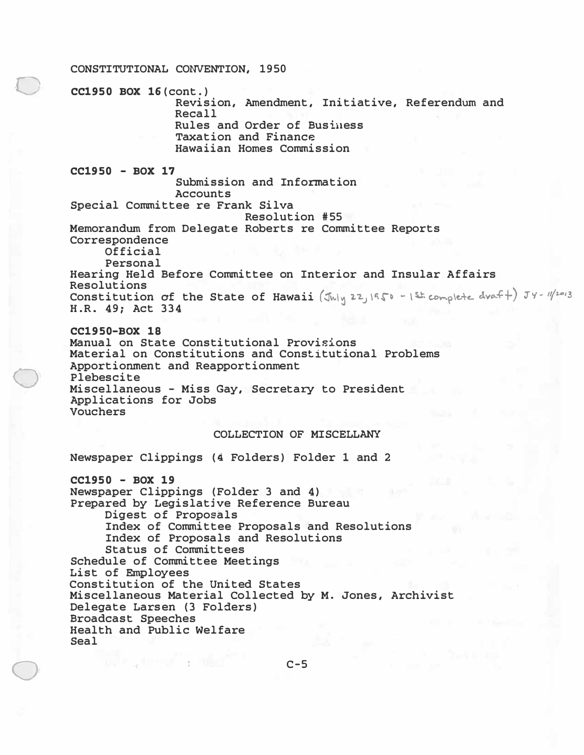# ·O  $\bigcirc$ **CONSTITUTIONAL CONVENTION, 1950 CC1950 BOX 16 (cont.) Revision, Amendment, Initiative, Referendum and Recall Rules and Order of Busiuess Taxation and Finance Hawaiian Homes Commission CC1950 - BOX 17 Submission and Information Accounts Special Committee re Frank Silva Resolution #55 Memorandum from Delegate Roberts re Committee Reports Correspondence Official Personal Hearing Held Before Committee on Interior and Insular Affairs Resolutions Constitution of the State of Hawaii**  $(\text{Jwly 22,1950 - 15k complete dwarf})$   $Jy - 11/2013$   $H.R. 49;$  Act 334 **CC1950-BOX 18 Manual on State Constitutional Provisions Material on Constitutions and Constitutional Problems Apportionment and Reapportionment Plebescite Miscellaneous - Miss Gay, Secretary to President Applications for Jobs**

#### **Vouchers**

 $\bigcirc$ 

#### **COLLECTION OF MISCELLANY**

**Newspaper Clippings (4 Folders) Folder 1 and 2** 

and a general constant

**CC1950 - BOX 19 Newspaper Clippings (Folder 3 and 4) Prepared by Legislatjve Reference Bureau Digest of Proposals Index of Committee Proposals and Resolutions Index of Proposals and Resolutions Status of Committees Schedule of Committee Meetings List of Employees Constitution of the United States Miscellaneous Material Collected by M. Jones, Archivist Delegate Larsen (3 Folders) Broadcast Speeches Health and Public Welfare Seal** 

# **C-5**